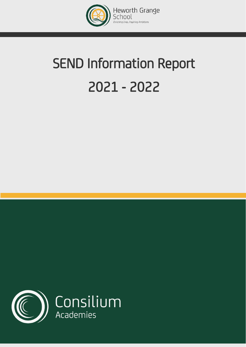

# SEND Information Report 2021 - 2022

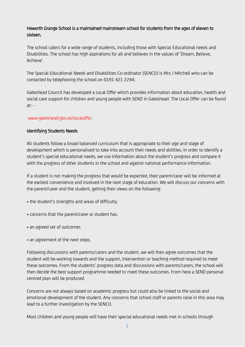# Heworth Grange School is a maintained mainstream school for students from the ages of eleven to sixteen.

The school caters for a wide range of students, including those with Special Educational needs and Disabilities. The school has high aspirations for all and believes in the values of 'Dream, Believe, Achieve'.

The Special Educational Needs and Disabilities Co-ordinator (SENCO) is Mrs J Mitchell who can be contacted by telephoning the school on 0191 421 2244.

Gateshead Council has developed a Local Offer which provides information about education, health and social care support for children and young people with SEND in Gateshead. The Local Offer can be found  $at: -$ 

## [www.gateshead.gov.uk/localoffer.](http://www.gateshead.gov.uk/localoffer)

## Identifying Students Needs

All students follow a broad balanced curriculum that is appropriate to their age and stage of development which is personalised to take into account their needs and abilities. In order to identify a student's special educational needs, we use information about the student's progress and compare it with the progress of other students in the school and against national performance information.

If a student is not making the progress that would be expected, their parent/carer will be informed at the earliest convenience and involved in the next stage of education. We will discuss our concerns with the parent/carer and the student, getting their views on the following:

- the student's strengths and areas of difficulty.
- concerns that the parent/carer or student has.
- an agreed set of outcomes
- an agreement of the next steps.

Following discussions with parents/carers and the student, we will then agree outcomes that the student will be working towards and the support, intervention or teaching method required to meet these outcomes. From the students' progress data and discussions with parents/carers, the school will then decide the best support programme needed to meet these outcomes. From here a SEND personal centred plan will be produced.

Concerns are not always based on academic progress but could also be linked to the social and emotional development of the student. Any concerns that school staff or parents raise in this area may lead to a further investigation by the SENCO.

Most children and young people will have their special educational needs met in schools through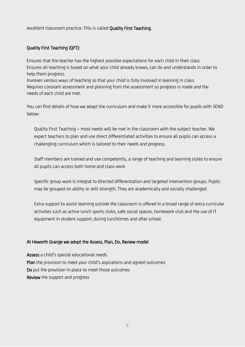excellent classroom practice. This is called Quality First Teaching.

## Quality First Teaching (QFT):

Ensures that the teacher has the highest possible expectations for each child in their class. Ensures all teaching is based on what your child already knows, can do and understands in order to help them progress.

Involves various ways of teaching so that your child is fully involved in learning in class. Requires constant assessment and planning from the assessment so progress is made and the needs of each child are met.

You can find details of how we adapt the curriculum and make it more accessible for pupils with SEND below:

Quality First Teaching – most needs will be met in the classroom with the subject teacher. We expect teachers to plan and use direct differentiated activities to ensure all pupils can access a challenging curriculum which is tailored to their needs and progress.

Staff members are trained and use competently, a range of teaching and learning styles to ensure all pupils can access both home and class work.

Specific group work is integral to directed differentiation and targeted intervention groups. Pupils may be grouped on ability or skill strength. They are academically and socially challenged.

Extra support to assist learning outside the classroom is offered in a broad range of extra-curricular activities such as active lunch sports clubs, safe social spaces, homework club and the use of IT equipment in student support, during lunchtimes and after school.

#### At Heworth Grange we adopt the Assess, Plan, Do, Review model

Assess a child's special educational needs Plan the provision to meet your child's aspirations and agreed outcomes Do put the provision in place to meet those outcomes Review the support and progress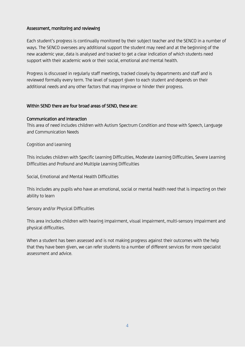## Assessment, monitoring and reviewing

Each student's progress is continually monitored by their subject teacher and the SENCO in a number of ways. The SENCO oversees any additional support the student may need and at the beginning of the new academic year, data is analysed and tracked to get a clear indication of which students need support with their academic work or their social, emotional and mental health.

Progress is discussed in regularly staff meetings, tracked closely by departments and staff and is reviewed formally every term. The level of support given to each student and depends on their additional needs and any other factors that may improve or hinder their progress.

#### Within SEND there are four broad areas of SEND, these are:

#### Communication and Interaction

This area of need includes children with Autism Spectrum Condition and those with Speech, Language and Communication Needs

#### Cognition and Learning

This includes children with Specific Learning Difficulties, Moderate Learning Difficulties, Severe Learning Difficulties and Profound and Multiple Learning Difficulties

Social, Emotional and Mental Health Difficulties

This includes any pupils who have an emotional, social or mental health need that is impacting on their ability to learn

Sensory and/or Physical Difficulties

This area includes children with hearing impairment, visual impairment, multi-sensory impairment and physical difficulties.

When a student has been assessed and is not making progress against their outcomes with the help that they have been given, we can refer students to a number of different services for more specialist assessment and advice.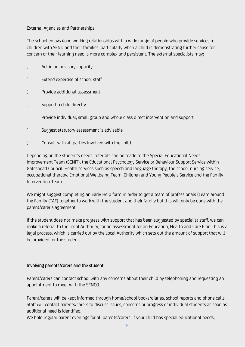## External Agencies and Partnerships

The school enjoys good working relationships with a wide range of people who provide services to children with SEND and their families, particularly when a child is demonstrating further cause for concern or their learning need is more complex and persistent. The external specialists may:

| $\Box$ | Act in an advisory capacity                                                     |
|--------|---------------------------------------------------------------------------------|
| $\Box$ | Extend expertise of school staff                                                |
| 0      | Provide additional assessment                                                   |
| $\Box$ | Support a child directly                                                        |
| $\Box$ | Provide individual, small group and whole class direct intervention and support |
| $\Box$ | Suggest statutory assessment is advisable                                       |
| 0      | Consult with all parties involved with the child                                |

Depending on the student's needs, referrals can be made to the Special Educational Needs Improvement Team (SENIT), the Educational Psychology Service or Behaviour Support Service within Gateshead Council. Health services such as speech and language therapy, the school nursing service, occupational therapy, Emotional Wellbeing Team, Children and Young People's Service and the Family Intervention Team.

We might suggest completing an Early Help form in order to get a team of professionals (Team around the Family (TAF) together to work with the student and their family but this will only be done with the parent/carer's agreement.

If the student does not make progress with support that has been suggested by specialist staff, we can make a referral to the Local Authority, for an assessment for an Education, Health and Care Plan This is a legal process, which is carried out by the Local Authority which sets out the amount of support that will be provided for the student.

## Involving parents/carers and the student

Parent/carers can contact school with any concerns about their child by telephoning and requesting an appointment to meet with the SENCO.

Parent/carers will be kept informed through home/school books/diaries, school reports and phone calls. Staff will contact parents/carers to discuss issues, concerns or progress of individual students as soon as additional need is identified.

We hold regular parent evenings for all parents/carers. If your child has special educational needs,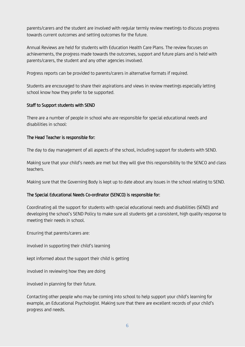parents/carers and the student are involved with regular termly review meetings to discuss progress towards current outcomes and setting outcomes for the future.

Annual Reviews are held for students with Education Health Care Plans. The review focuses on achievements, the progress made towards the outcomes, support and future plans and is held with parents/carers, the student and any other agencies involved.

Progress reports can be provided to parents/carers in alternative formats if required.

Students are encouraged to share their aspirations and views in review meetings especially letting school know how they prefer to be supported.

## Staff to Support students with SEND

There are a number of people in school who are responsible for special educational needs and disabilities in school:

## The Head Teacher is responsible for:

The day to day management of all aspects of the school, including support for students with SEND.

Making sure that your child's needs are met but they will give this responsibility to the SENCO and class teachers.

Making sure that the Governing Body is kept up to date about any issues in the school relating to SEND.

# The Special Educational Needs Co-ordinator (SENCO) is responsible for:

Coordinating all the support for students with special educational needs and disabilities (SEND) and developing the school's SEND Policy to make sure all students get a consistent, high quality response to meeting their needs in school.

Ensuring that parents/carers are:

involved in supporting their child's learning

kept informed about the support their child is getting

involved in reviewing how they are doing

involved in planning for their future.

Contacting other people who may be coming into school to help support your child's learning for example, an Educational Psychologist. Making sure that there are excellent records of your child's progress and needs.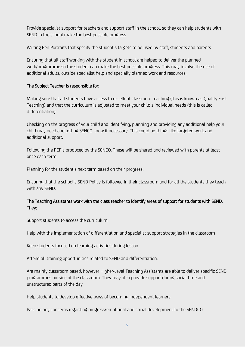Provide specialist support for teachers and support staff in the school, so they can help students with SEND in the school make the best possible progress.

Writing Pen Portraits that specify the student's targets to be used by staff, students and parents

Ensuring that all staff working with the student in school are helped to deliver the planned work/programme so the student can make the best possible progress. This may involve the use of additional adults, outside specialist help and specially planned work and resources.

## The Subject Teacher is responsible for:

Making sure that all students have access to excellent classroom teaching (this is known as Quality First Teaching) and that the curriculum is adjusted to meet your child's individual needs (this is called differentiation).

Checking on the progress of your child and identifying, planning and providing any additional help your child may need and letting SENCO know if necessary. This could be things like targeted work and additional support.

Following the PCP's produced by the SENCO. These will be shared and reviewed with parents at least once each term.

Planning for the student's next term based on their progress.

Ensuring that the school's SEND Policy is followed in their classroom and for all the students they teach with any SEND.

# The Teaching Assistants work with the class teacher to identify areas of support for students with SEND. They:

Support students to access the curriculum

Help with the implementation of differentiation and specialist support strategies in the classroom

Keep students focused on learning activities during lesson

Attend all training opportunities related to SEND and differentiation.

Are mainly classroom based, however Higher-Level Teaching Assistants are able to deliver specific SEND programmes outside of the classroom. They may also provide support during social time and unstructured parts of the day

Help students to develop effective ways of becoming independent learners

Pass on any concerns regarding progress/emotional and social development to the SENDCO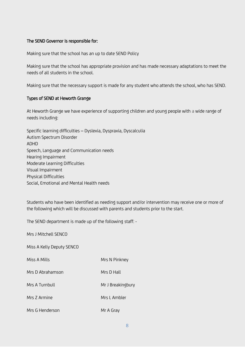## The SEND Governor is responsible for:

Making sure that the school has an up to date SEND Policy

Making sure that the school has appropriate provision and has made necessary adaptations to meet the needs of all students in the school.

Making sure that the necessary support is made for any student who attends the school, who has SEND.

#### Types of SEND at Heworth Grange

At Heworth Grange we have experience of supporting children and young people with a wide range of needs including:

| Specific learning difficulties - Dyslexia, Dyspraxia, Dyscalculia |
|-------------------------------------------------------------------|
| Autism Spectrum Disorder                                          |
| ADHD                                                              |
| Speech, Language and Communication needs                          |
| Hearing Impairment                                                |
| Moderate Learning Difficulties                                    |
| Visual Impairment                                                 |
| Physical Difficulties                                             |
| Social, Emotional and Mental Health needs                         |

Students who have been identified as needing support and/or intervention may receive one or more of the following which will be discussed with parents and students prior to the start.

The SEND department is made up of the following staff: -

Mrs J Mitchell SENCO

Miss A Kelly Deputy SENCO

| Miss A Mills     | Mrs N Pinkney |
|------------------|---------------|
| Mrs D Abrahamson | Mrs D Hall    |

Mrs A Turnbull Mr J Breakingbury

- Mrs 7 Armine Mrs L Ambler
- Mrs G Henderson Mr A Gray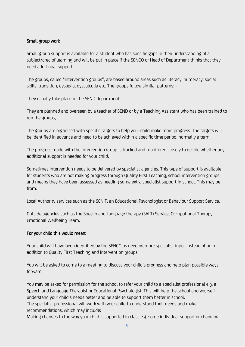## Small group work

Small group support is available for a student who has specific gaps in their understanding of a subject/area of learning and will be put in place if the SENCO or Head of Department thinks that they need additional support.

The groups, called "Intervention groups", are based around areas such as literacy, numeracy, social skills, transition, dyslexia, dyscalculia etc. The groups follow similar patterns: -

They usually take place in the SEND department

They are planned and overseen by a teacher of SEND or by a Teaching Assistant who has been trained to run the groups,

The groups are organised with specific targets to help your child make more progress. The targets will be identified in advance and need to be achieved within a specific time period, normally a term.

The progress made with the intervention group is tracked and monitored closely to decide whether any additional support is needed for your child.

Sometimes intervention needs to be delivered by specialist agencies. This type of support is available for students who are not making progress through Quality First Teaching, school intervention groups and means they have been assessed as needing some extra specialist support in school. This may be from:

Local Authority services such as the SENIT, an Educational Psychologist or Behaviour Support Service.

Outside agencies such as the Speech and Language therapy (SALT) Service, Occupational Therapy, Emotional Wellbeing Team.

## For your child this would mean:

Your child will have been identified by the SENCO as needing more specialist input instead of or in addition to Quality First Teaching and intervention groups.

You will be asked to come to a meeting to discuss your child's progress and help plan possible ways forward.

You may be asked for permission for the school to refer your child to a specialist professional e.g. a Speech and Language Therapist or Educational Psychologist. This will help the school and yourself understand your child's needs better and be able to support them better in school. The specialist professional will work with your child to understand their needs and make recommendations, which may include:

Making changes to the way your child is supported in class e.g. some individual support or changing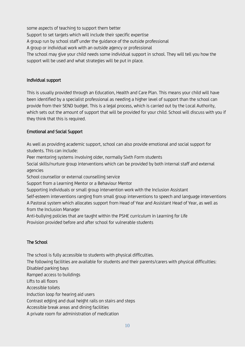some aspects of teaching to support them better Support to set targets which will include their specific expertise A group run by school staff under the guidance of the outside professional A group or individual work with an outside agency or professional The school may give your child needs some individual support in school. They will tell you how the support will be used and what strategies will be put in place.

## Individual support

This is usually provided through an Education, Health and Care Plan. This means your child will have been identified by a specialist professional as needing a higher level of support than the school can provide from their SEND budget. This is a legal process, which is carried out by the Local Authority, which sets out the amount of support that will be provided for your child. School will discuss with you if they think that this is required.

# Emotional and Social Support

As well as providing academic support, school can also provide emotional and social support for students. This can include:

Peer mentoring systems involving older, normally Sixth Form students

Social skills/nurture group interventions which can be provided by both internal staff and external agencies

School counsellor or external counselling service

Support from a Learning Mentor or a Behaviour Mentor

Supporting individuals or small group intervention work with the Inclusion Assistant

Self-esteem interventions ranging from small group interventions to speech and language interventions A Pastoral system which allocates support from Head of Year and Assistant Head of Year, as well as from the Inclusion Manager

Anti-bullying policies that are taught within the PSHE curriculum in Learning for Life Provision provided before and after school for vulnerable students

# The School

The school is fully accessible to students with physical difficulties. The following facilities are available for students and their parents/carers with physical difficulties: Disabled parking bays Ramped access to buildings Lifts to all floors Accessible toilets Induction loop for hearing aid users Contrast edging and dual height rails on stairs and steps Accessible break areas and dining facilities A private room for administration of medication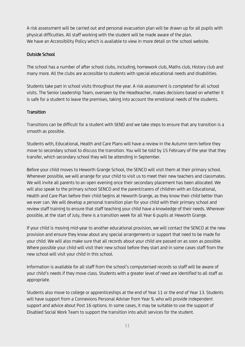A risk assessment will be carried out and personal evacuation plan will be drawn up for all pupils with physical difficulties. All staff working with the student will be made aware of the plan. We have an Accessibility Policy which is available to view in more detail on the school website.

# Outside School

The school has a number of after school clubs, including, homework club, Maths club, History club and many more. All the clubs are accessible to students with special educational needs and disabilities.

Students take part in school visits throughout the year. A risk assessment is completed for all school visits. The Senior Leadership Team, overseen by the Headteacher, makes decisions based on whether it is safe for a student to leave the premises, taking into account the emotional needs of the students.

## **Transition**

Transitions can be difficult for a student with SEND and we take steps to ensure that any transition is a smooth as possible.

Students with, Educational, Health and Care Plans will have a review in the Autumn term before they move to secondary school to discuss the transition. You will be told by 15 February of the year that they transfer, which secondary school they will be attending in September.

Before your child moves to Heworth Grange School, the SENCO will visit them at their primary school. Whenever possible, we will arrange for your child to visit us to meet their new teachers and classmates. We will invite all parents to an open evening once their secondary placement has been allocated. We will also speak to the primary school SENCO and the parent/carers of children with an Educational, Health and Care Plan before their child begins at Heworth Grange, as they know their child better than we ever can. We will develop a personal transition plan for your child with their primary school and review staff training to ensure that staff teaching your child have a knowledge of their needs. Wherever possible, at the start of July, there is a transition week for all Year 6 pupils at Heworth Grange.

If your child is moving mid-year to another educational provision, we will contact the SENCO at the new provision and ensure they know about any special arrangements or support that need to be made for your child. We will also make sure that all records about your child are passed on as soon as possible. Where possible your child will visit their new school before they start and in some cases staff from the new school will visit your child in this school.

Information is available for all staff from the school's computerised records so staff will be aware of your child's needs if they move class. Students with a greater level of need are identified to all staff as appropriate.

Students also move to college or apprenticeships at the end of Year 11 or the end of Year 13. Students will have support from a Connexions Personal Adviser from Year 9, who will provide independent support and advice about Post 16 options. In some cases, it may be suitable to use the support of Disabled Social Work Team to support the transition into adult services for the student.